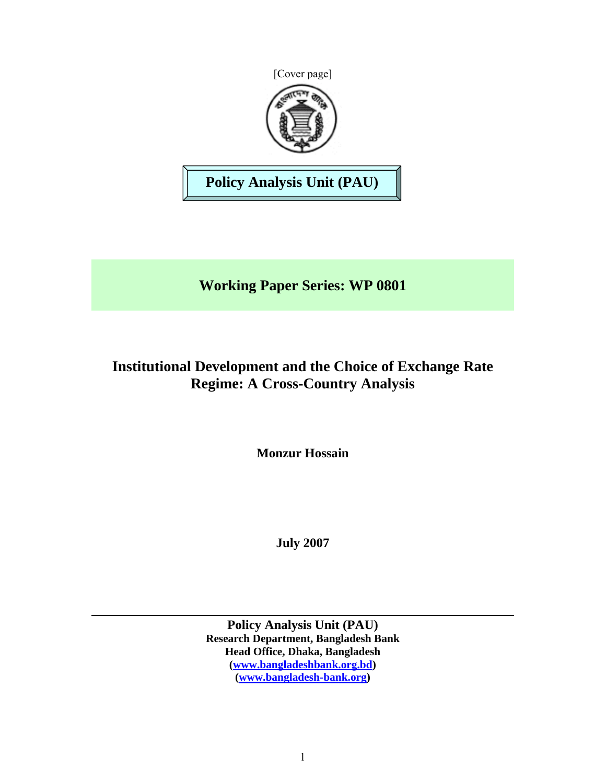



**Policy Analysis Unit (PAU)** 

**Working Paper Series: WP 0801** 

# **Institutional Development and the Choice of Exchange Rate Regime: A Cross-Country Analysis**

**Monzur Hossain** 

**July 2007** 

**Policy Analysis Unit (PAU) Research Department, Bangladesh Bank Head Office, Dhaka, Bangladesh (www.bangladeshbank.org.bd) (www.bangladesh-bank.org)**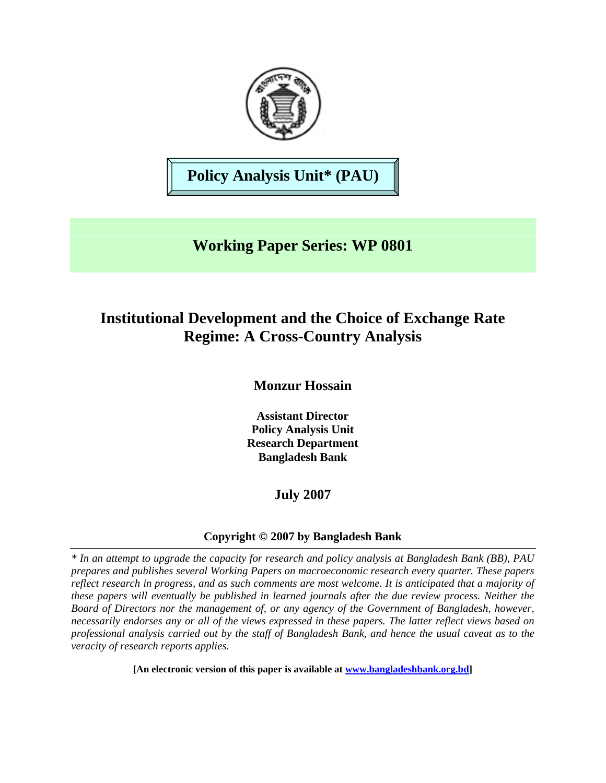

**Policy Analysis Unit\* (PAU)**

# **Working Paper Series: WP 0801**

# **Institutional Development and the Choice of Exchange Rate Regime: A Cross-Country Analysis**

**Monzur Hossain** 

**Assistant Director Policy Analysis Unit Research Department Bangladesh Bank** 

# **July 2007**

# **Copyright © 2007 by Bangladesh Bank**

*\* In an attempt to upgrade the capacity for research and policy analysis at Bangladesh Bank (BB), PAU prepares and publishes several Working Papers on macroeconomic research every quarter. These papers reflect research in progress, and as such comments are most welcome. It is anticipated that a majority of these papers will eventually be published in learned journals after the due review process. Neither the Board of Directors nor the management of, or any agency of the Government of Bangladesh, however, necessarily endorses any or all of the views expressed in these papers. The latter reflect views based on professional analysis carried out by the staff of Bangladesh Bank, and hence the usual caveat as to the veracity of research reports applies.*

**[An electronic version of this paper is available at www.bangladeshbank.org.bd]**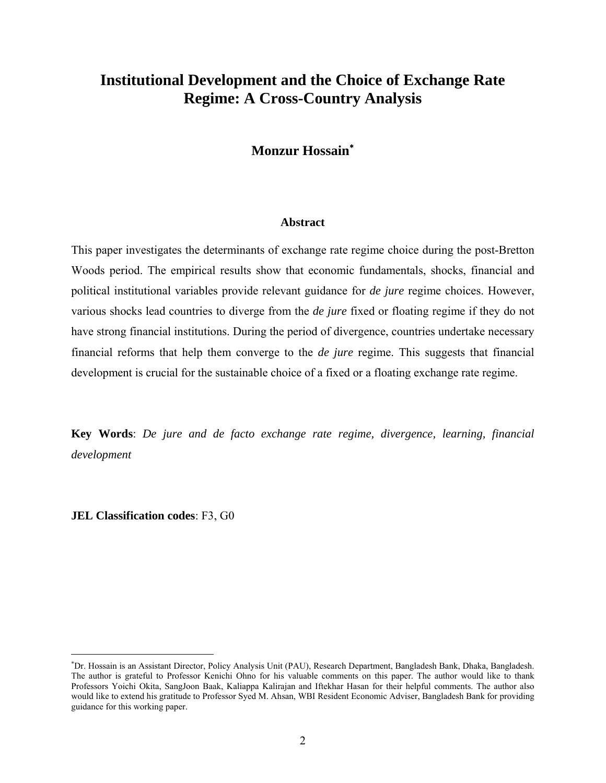# **Institutional Development and the Choice of Exchange Rate Regime: A Cross-Country Analysis**

# **Monzur Hossain**<sup>∗</sup>

#### **Abstract**

This paper investigates the determinants of exchange rate regime choice during the post-Bretton Woods period. The empirical results show that economic fundamentals, shocks, financial and political institutional variables provide relevant guidance for *de jure* regime choices. However, various shocks lead countries to diverge from the *de jure* fixed or floating regime if they do not have strong financial institutions. During the period of divergence, countries undertake necessary financial reforms that help them converge to the *de jure* regime. This suggests that financial development is crucial for the sustainable choice of a fixed or a floating exchange rate regime.

**Key Words**: *De jure and de facto exchange rate regime, divergence, learning, financial development*

**JEL Classification codes**: F3, G0

 $\overline{a}$ 

<sup>∗</sup> Dr. Hossain is an Assistant Director, Policy Analysis Unit (PAU), Research Department, Bangladesh Bank, Dhaka, Bangladesh. The author is grateful to Professor Kenichi Ohno for his valuable comments on this paper. The author would like to thank Professors Yoichi Okita, SangJoon Baak, Kaliappa Kalirajan and Iftekhar Hasan for their helpful comments. The author also would like to extend his gratitude to Professor Syed M. Ahsan, WBI Resident Economic Adviser, Bangladesh Bank for providing guidance for this working paper.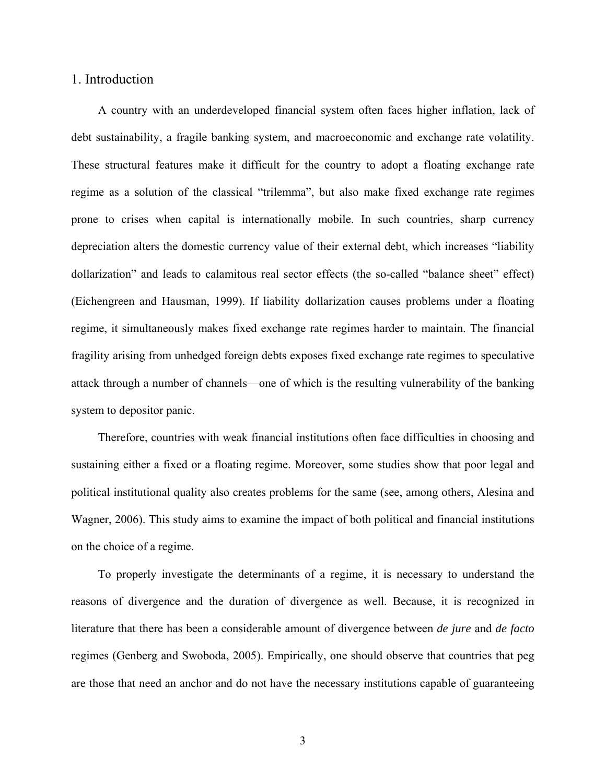## 1. Introduction

A country with an underdeveloped financial system often faces higher inflation, lack of debt sustainability, a fragile banking system, and macroeconomic and exchange rate volatility. These structural features make it difficult for the country to adopt a floating exchange rate regime as a solution of the classical "trilemma", but also make fixed exchange rate regimes prone to crises when capital is internationally mobile. In such countries, sharp currency depreciation alters the domestic currency value of their external debt, which increases "liability dollarization" and leads to calamitous real sector effects (the so-called "balance sheet" effect) (Eichengreen and Hausman, 1999). If liability dollarization causes problems under a floating regime, it simultaneously makes fixed exchange rate regimes harder to maintain. The financial fragility arising from unhedged foreign debts exposes fixed exchange rate regimes to speculative attack through a number of channels—one of which is the resulting vulnerability of the banking system to depositor panic.

Therefore, countries with weak financial institutions often face difficulties in choosing and sustaining either a fixed or a floating regime. Moreover, some studies show that poor legal and political institutional quality also creates problems for the same (see, among others, Alesina and Wagner, 2006). This study aims to examine the impact of both political and financial institutions on the choice of a regime.

To properly investigate the determinants of a regime, it is necessary to understand the reasons of divergence and the duration of divergence as well. Because, it is recognized in literature that there has been a considerable amount of divergence between *de jure* and *de facto* regimes (Genberg and Swoboda, 2005). Empirically, one should observe that countries that peg are those that need an anchor and do not have the necessary institutions capable of guaranteeing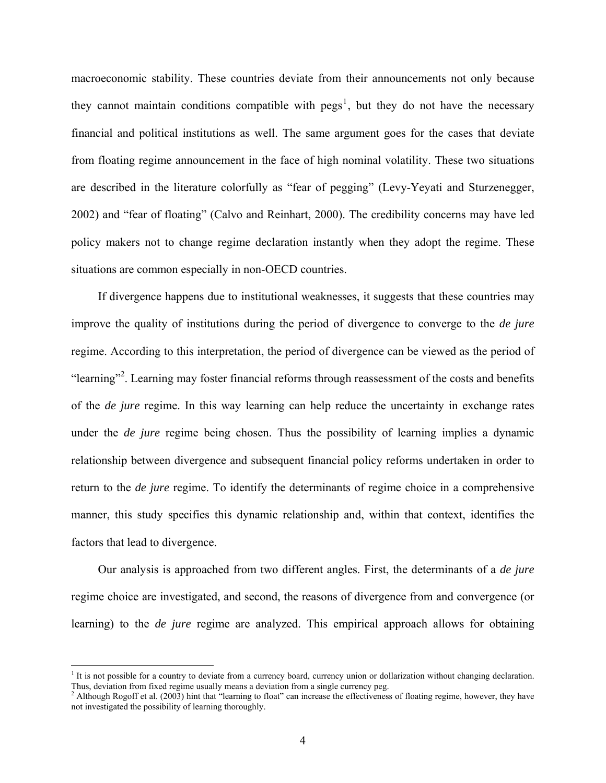macroeconomic stability. These countries deviate from their announcements not only because they cannot maintain conditions compatible with  $pegs<sup>1</sup>$ , but they do not have the necessary financial and political institutions as well. The same argument goes for the cases that deviate from floating regime announcement in the face of high nominal volatility. These two situations are described in the literature colorfully as "fear of pegging" (Levy-Yeyati and Sturzenegger, 2002) and "fear of floating" (Calvo and Reinhart, 2000). The credibility concerns may have led policy makers not to change regime declaration instantly when they adopt the regime. These situations are common especially in non-OECD countries.

If divergence happens due to institutional weaknesses, it suggests that these countries may improve the quality of institutions during the period of divergence to converge to the *de jure* regime. According to this interpretation, the period of divergence can be viewed as the period of "learning"<sup>2</sup>. Learning may foster financial reforms through reassessment of the costs and benefits of the *de jure* regime. In this way learning can help reduce the uncertainty in exchange rates under the *de jure* regime being chosen. Thus the possibility of learning implies a dynamic relationship between divergence and subsequent financial policy reforms undertaken in order to return to the *de jure* regime. To identify the determinants of regime choice in a comprehensive manner, this study specifies this dynamic relationship and, within that context, identifies the factors that lead to divergence.

Our analysis is approached from two different angles. First, the determinants of a *de jure* regime choice are investigated, and second, the reasons of divergence from and convergence (or learning) to the *de jure* regime are analyzed. This empirical approach allows for obtaining

 $\overline{a}$ 

<sup>&</sup>lt;sup>1</sup> It is not possible for a country to deviate from a currency board, currency union or dollarization without changing declaration. Thus, deviation from fixed regime usually means a deviation from a single currency peg. 2

 $^2$  Although Rogoff et al. (2003) hint that "learning to float" can increase the effectiveness of floating regime, however, they have not investigated the possibility of learning thoroughly.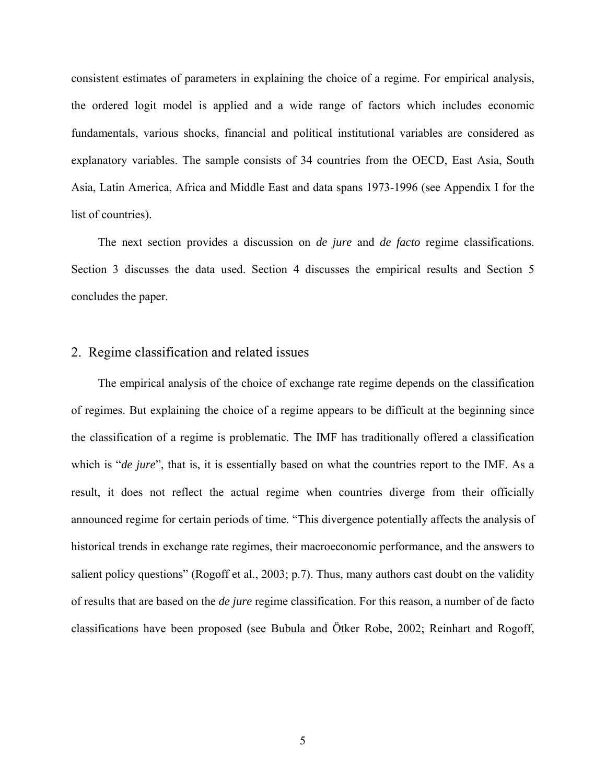consistent estimates of parameters in explaining the choice of a regime. For empirical analysis, the ordered logit model is applied and a wide range of factors which includes economic fundamentals, various shocks, financial and political institutional variables are considered as explanatory variables. The sample consists of 34 countries from the OECD, East Asia, South Asia, Latin America, Africa and Middle East and data spans 1973-1996 (see Appendix I for the list of countries).

The next section provides a discussion on *de jure* and *de facto* regime classifications. Section 3 discusses the data used. Section 4 discusses the empirical results and Section 5 concludes the paper.

## 2. Regime classification and related issues

The empirical analysis of the choice of exchange rate regime depends on the classification of regimes. But explaining the choice of a regime appears to be difficult at the beginning since the classification of a regime is problematic. The IMF has traditionally offered a classification which is "*de jure*", that is, it is essentially based on what the countries report to the IMF. As a result, it does not reflect the actual regime when countries diverge from their officially announced regime for certain periods of time. "This divergence potentially affects the analysis of historical trends in exchange rate regimes, their macroeconomic performance, and the answers to salient policy questions" (Rogoff et al., 2003; p.7). Thus, many authors cast doubt on the validity of results that are based on the *de jure* regime classification. For this reason, a number of de facto classifications have been proposed (see Bubula and Ötker Robe, 2002; Reinhart and Rogoff,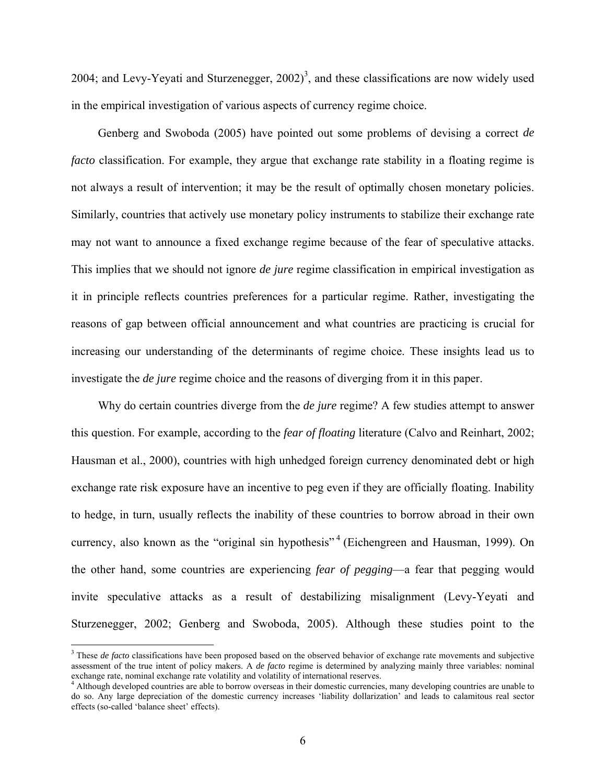2004; and Levy-Yeyati and Sturzenegger,  $2002$ <sup>3</sup>, and these classifications are now widely used in the empirical investigation of various aspects of currency regime choice.

Genberg and Swoboda (2005) have pointed out some problems of devising a correct *de facto* classification. For example, they argue that exchange rate stability in a floating regime is not always a result of intervention; it may be the result of optimally chosen monetary policies. Similarly, countries that actively use monetary policy instruments to stabilize their exchange rate may not want to announce a fixed exchange regime because of the fear of speculative attacks. This implies that we should not ignore *de jure* regime classification in empirical investigation as it in principle reflects countries preferences for a particular regime. Rather, investigating the reasons of gap between official announcement and what countries are practicing is crucial for increasing our understanding of the determinants of regime choice. These insights lead us to investigate the *de jure* regime choice and the reasons of diverging from it in this paper.

Why do certain countries diverge from the *de jure* regime? A few studies attempt to answer this question. For example, according to the *fear of floating* literature (Calvo and Reinhart, 2002; Hausman et al., 2000), countries with high unhedged foreign currency denominated debt or high exchange rate risk exposure have an incentive to peg even if they are officially floating. Inability to hedge, in turn, usually reflects the inability of these countries to borrow abroad in their own currency, also known as the "original sin hypothesis"<sup>4</sup> (Eichengreen and Hausman, 1999). On the other hand, some countries are experiencing *fear of pegging*—a fear that pegging would invite speculative attacks as a result of destabilizing misalignment (Levy-Yeyati and Sturzenegger, 2002; Genberg and Swoboda, 2005). Although these studies point to the

 $\overline{a}$ 

<sup>3</sup> These *de facto* classifications have been proposed based on the observed behavior of exchange rate movements and subjective assessment of the true intent of policy makers. A *de facto* regime is determined by analyzing mainly three variables: nominal exchange rate, nominal exchange rate volatility and volatility of international reserves.<br><sup>4</sup> Although developed countries are able to borrow overseas in their domestic currencies, many developing countries are unable to

do so. Any large depreciation of the domestic currency increases 'liability dollarization' and leads to calamitous real sector effects (so-called 'balance sheet' effects).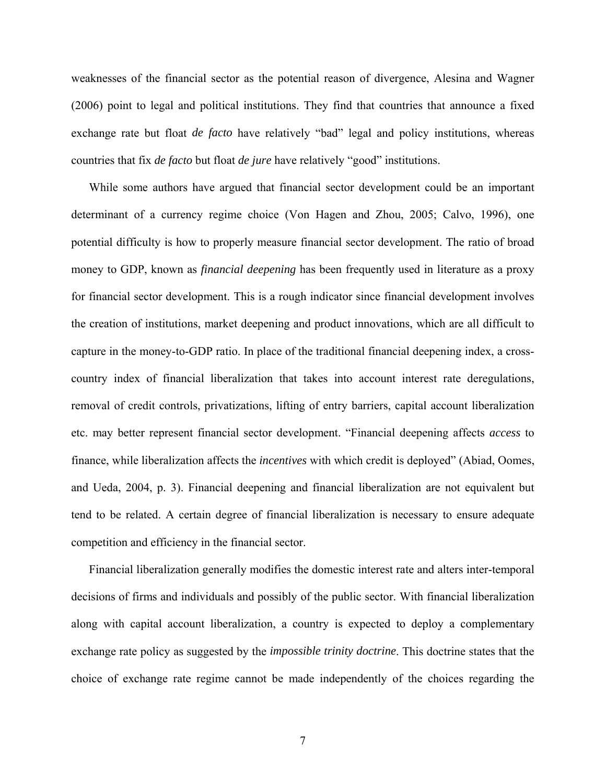weaknesses of the financial sector as the potential reason of divergence, Alesina and Wagner (2006) point to legal and political institutions. They find that countries that announce a fixed exchange rate but float *de facto* have relatively "bad" legal and policy institutions, whereas countries that fix *de facto* but float *de jure* have relatively "good" institutions.

While some authors have argued that financial sector development could be an important determinant of a currency regime choice (Von Hagen and Zhou, 2005; Calvo, 1996), one potential difficulty is how to properly measure financial sector development. The ratio of broad money to GDP, known as *financial deepening* has been frequently used in literature as a proxy for financial sector development. This is a rough indicator since financial development involves the creation of institutions, market deepening and product innovations, which are all difficult to capture in the money-to-GDP ratio. In place of the traditional financial deepening index, a crosscountry index of financial liberalization that takes into account interest rate deregulations, removal of credit controls, privatizations, lifting of entry barriers, capital account liberalization etc. may better represent financial sector development. "Financial deepening affects *access* to finance, while liberalization affects the *incentives* with which credit is deployed" (Abiad, Oomes, and Ueda, 2004, p. 3). Financial deepening and financial liberalization are not equivalent but tend to be related. A certain degree of financial liberalization is necessary to ensure adequate competition and efficiency in the financial sector.

Financial liberalization generally modifies the domestic interest rate and alters inter-temporal decisions of firms and individuals and possibly of the public sector. With financial liberalization along with capital account liberalization, a country is expected to deploy a complementary exchange rate policy as suggested by the *impossible trinity doctrine*. This doctrine states that the choice of exchange rate regime cannot be made independently of the choices regarding the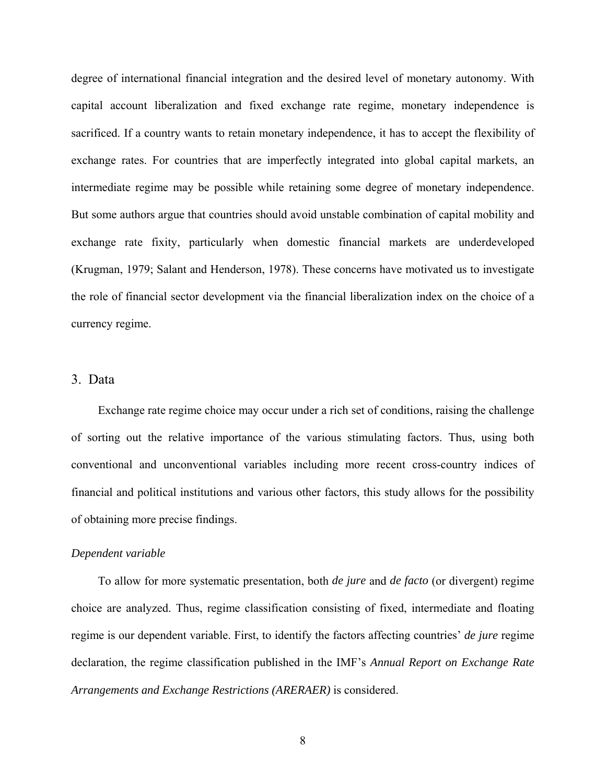degree of international financial integration and the desired level of monetary autonomy. With capital account liberalization and fixed exchange rate regime, monetary independence is sacrificed. If a country wants to retain monetary independence, it has to accept the flexibility of exchange rates. For countries that are imperfectly integrated into global capital markets, an intermediate regime may be possible while retaining some degree of monetary independence. But some authors argue that countries should avoid unstable combination of capital mobility and exchange rate fixity, particularly when domestic financial markets are underdeveloped (Krugman, 1979; Salant and Henderson, 1978). These concerns have motivated us to investigate the role of financial sector development via the financial liberalization index on the choice of a currency regime.

### 3. Data

Exchange rate regime choice may occur under a rich set of conditions, raising the challenge of sorting out the relative importance of the various stimulating factors. Thus, using both conventional and unconventional variables including more recent cross-country indices of financial and political institutions and various other factors, this study allows for the possibility of obtaining more precise findings.

### *Dependent variable*

To allow for more systematic presentation, both *de jure* and *de facto* (or divergent) regime choice are analyzed. Thus, regime classification consisting of fixed, intermediate and floating regime is our dependent variable. First, to identify the factors affecting countries' *de jure* regime declaration, the regime classification published in the IMF's *Annual Report on Exchange Rate Arrangements and Exchange Restrictions (ARERAER)* is considered.

8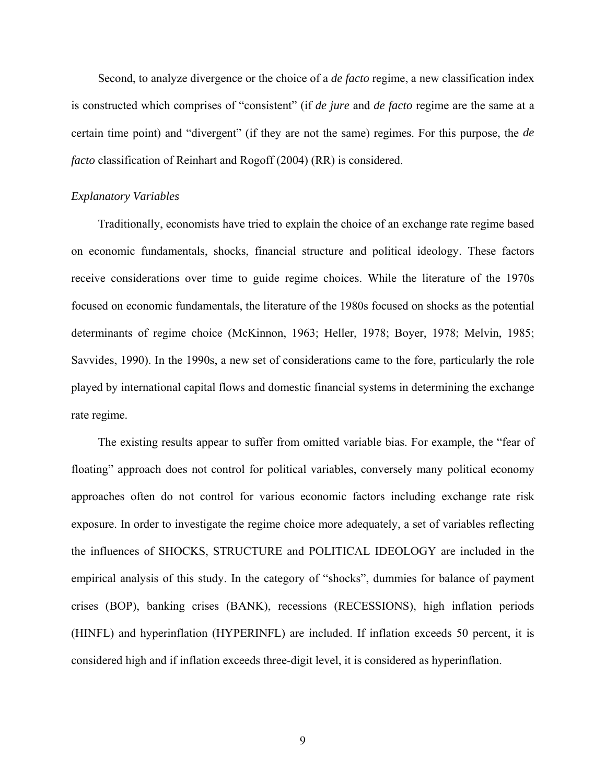Second, to analyze divergence or the choice of a *de facto* regime, a new classification index is constructed which comprises of "consistent" (if *de jure* and *de facto* regime are the same at a certain time point) and "divergent" (if they are not the same) regimes. For this purpose, the *de facto* classification of Reinhart and Rogoff (2004) (RR) is considered.

#### *Explanatory Variables*

Traditionally, economists have tried to explain the choice of an exchange rate regime based on economic fundamentals, shocks, financial structure and political ideology. These factors receive considerations over time to guide regime choices. While the literature of the 1970s focused on economic fundamentals, the literature of the 1980s focused on shocks as the potential determinants of regime choice (McKinnon, 1963; Heller, 1978; Boyer, 1978; Melvin, 1985; Savvides, 1990). In the 1990s, a new set of considerations came to the fore, particularly the role played by international capital flows and domestic financial systems in determining the exchange rate regime.

The existing results appear to suffer from omitted variable bias. For example, the "fear of floating" approach does not control for political variables, conversely many political economy approaches often do not control for various economic factors including exchange rate risk exposure. In order to investigate the regime choice more adequately, a set of variables reflecting the influences of SHOCKS, STRUCTURE and POLITICAL IDEOLOGY are included in the empirical analysis of this study. In the category of "shocks", dummies for balance of payment crises (BOP), banking crises (BANK), recessions (RECESSIONS), high inflation periods (HINFL) and hyperinflation (HYPERINFL) are included. If inflation exceeds 50 percent, it is considered high and if inflation exceeds three-digit level, it is considered as hyperinflation.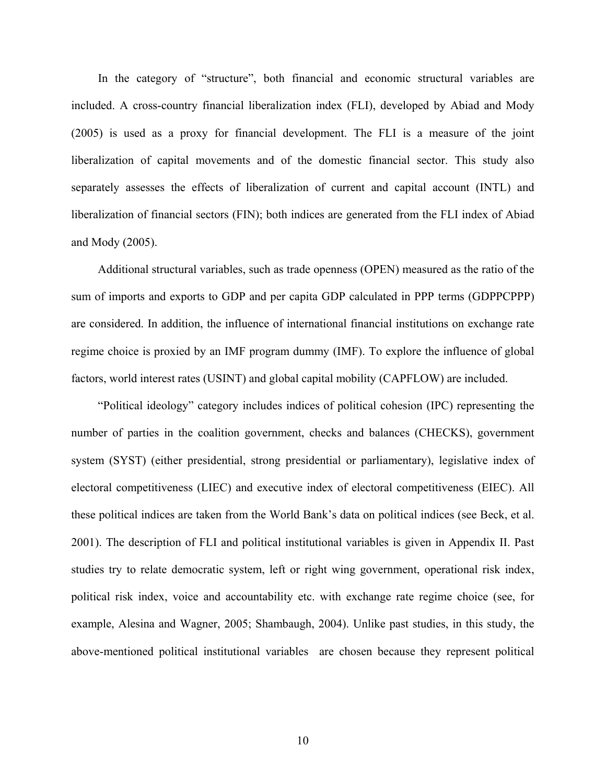In the category of "structure", both financial and economic structural variables are included. A cross-country financial liberalization index (FLI), developed by Abiad and Mody (2005) is used as a proxy for financial development. The FLI is a measure of the joint liberalization of capital movements and of the domestic financial sector. This study also separately assesses the effects of liberalization of current and capital account (INTL) and liberalization of financial sectors (FIN); both indices are generated from the FLI index of Abiad and Mody (2005).

Additional structural variables, such as trade openness (OPEN) measured as the ratio of the sum of imports and exports to GDP and per capita GDP calculated in PPP terms (GDPPCPPP) are considered. In addition, the influence of international financial institutions on exchange rate regime choice is proxied by an IMF program dummy (IMF). To explore the influence of global factors, world interest rates (USINT) and global capital mobility (CAPFLOW) are included.

"Political ideology" category includes indices of political cohesion (IPC) representing the number of parties in the coalition government, checks and balances (CHECKS), government system (SYST) (either presidential, strong presidential or parliamentary), legislative index of electoral competitiveness (LIEC) and executive index of electoral competitiveness (EIEC). All these political indices are taken from the World Bank's data on political indices (see Beck, et al. 2001). The description of FLI and political institutional variables is given in Appendix II. Past studies try to relate democratic system, left or right wing government, operational risk index, political risk index, voice and accountability etc. with exchange rate regime choice (see, for example, Alesina and Wagner, 2005; Shambaugh, 2004). Unlike past studies, in this study, the above-mentioned political institutional variables are chosen because they represent political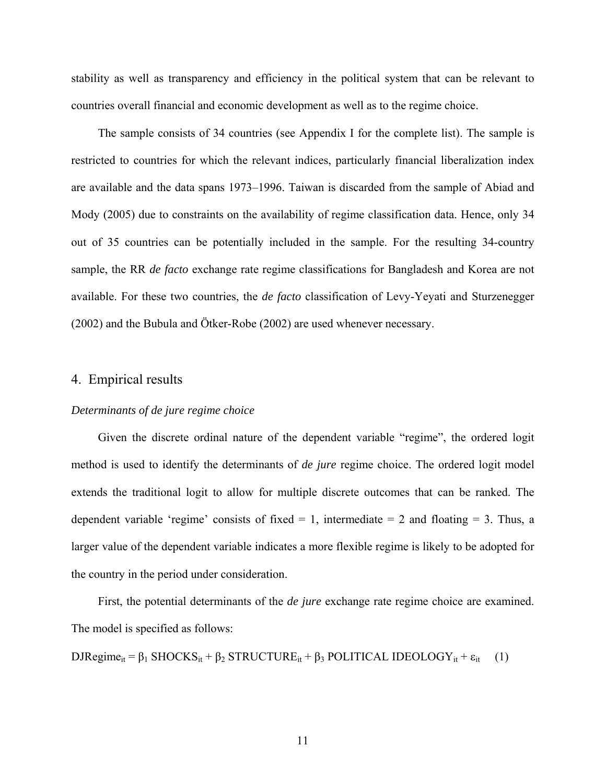stability as well as transparency and efficiency in the political system that can be relevant to countries overall financial and economic development as well as to the regime choice.

The sample consists of 34 countries (see Appendix I for the complete list). The sample is restricted to countries for which the relevant indices, particularly financial liberalization index are available and the data spans 1973–1996. Taiwan is discarded from the sample of Abiad and Mody (2005) due to constraints on the availability of regime classification data. Hence, only 34 out of 35 countries can be potentially included in the sample. For the resulting 34-country sample, the RR *de facto* exchange rate regime classifications for Bangladesh and Korea are not available. For these two countries, the *de facto* classification of Levy-Yeyati and Sturzenegger (2002) and the Bubula and Ötker-Robe (2002) are used whenever necessary.

## 4. Empirical results

#### *Determinants of de jure regime choice*

Given the discrete ordinal nature of the dependent variable "regime", the ordered logit method is used to identify the determinants of *de jure* regime choice. The ordered logit model extends the traditional logit to allow for multiple discrete outcomes that can be ranked. The dependent variable 'regime' consists of fixed  $= 1$ , intermediate  $= 2$  and floating  $= 3$ . Thus, a larger value of the dependent variable indicates a more flexible regime is likely to be adopted for the country in the period under consideration.

First, the potential determinants of the *de jure* exchange rate regime choice are examined. The model is specified as follows:

DJRegime<sub>it</sub> =  $\beta_1$  SHOCKS<sub>it</sub> +  $\beta_2$  STRUCTURE<sub>it</sub> +  $\beta_3$  POLITICAL IDEOLOGY<sub>it</sub> +  $\varepsilon_{it}$  (1)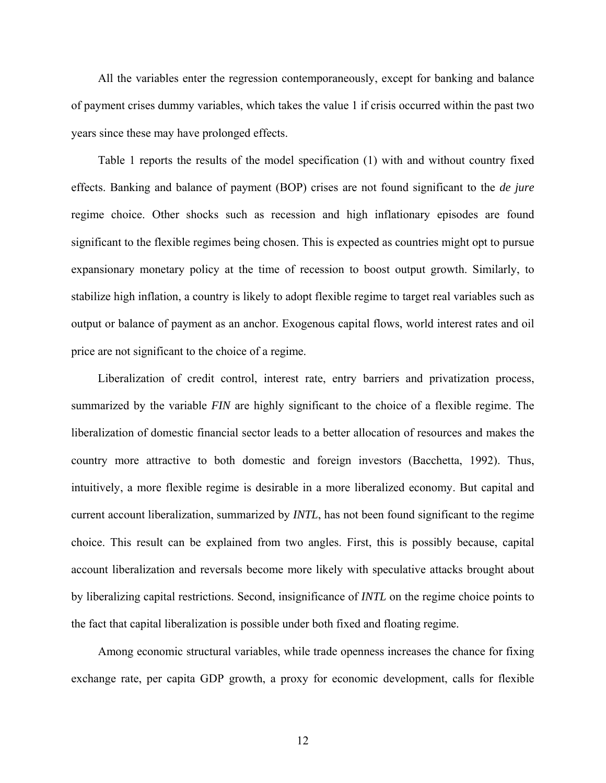All the variables enter the regression contemporaneously, except for banking and balance of payment crises dummy variables, which takes the value 1 if crisis occurred within the past two years since these may have prolonged effects.

Table 1 reports the results of the model specification (1) with and without country fixed effects. Banking and balance of payment (BOP) crises are not found significant to the *de jure* regime choice. Other shocks such as recession and high inflationary episodes are found significant to the flexible regimes being chosen. This is expected as countries might opt to pursue expansionary monetary policy at the time of recession to boost output growth. Similarly, to stabilize high inflation, a country is likely to adopt flexible regime to target real variables such as output or balance of payment as an anchor. Exogenous capital flows, world interest rates and oil price are not significant to the choice of a regime.

Liberalization of credit control, interest rate, entry barriers and privatization process, summarized by the variable *FIN* are highly significant to the choice of a flexible regime. The liberalization of domestic financial sector leads to a better allocation of resources and makes the country more attractive to both domestic and foreign investors (Bacchetta, 1992). Thus, intuitively, a more flexible regime is desirable in a more liberalized economy. But capital and current account liberalization, summarized by *INTL*, has not been found significant to the regime choice. This result can be explained from two angles. First, this is possibly because, capital account liberalization and reversals become more likely with speculative attacks brought about by liberalizing capital restrictions. Second, insignificance of *INTL* on the regime choice points to the fact that capital liberalization is possible under both fixed and floating regime.

Among economic structural variables, while trade openness increases the chance for fixing exchange rate, per capita GDP growth, a proxy for economic development, calls for flexible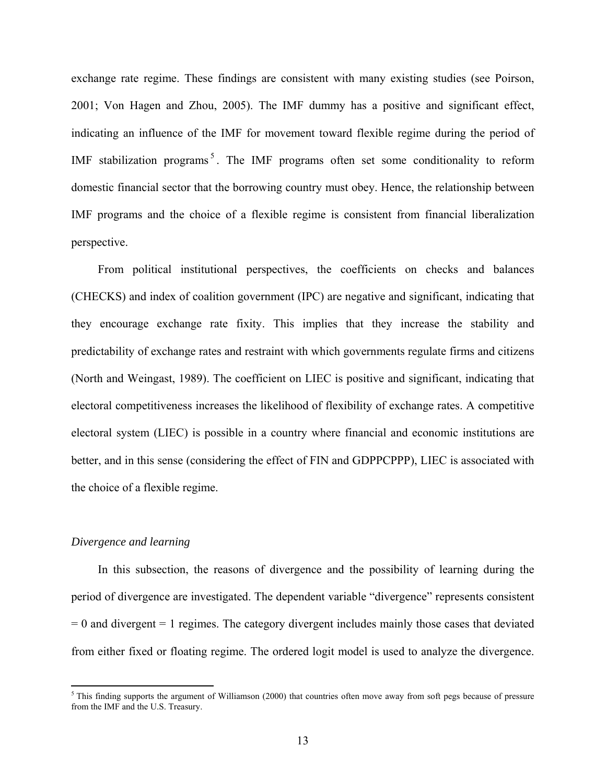exchange rate regime. These findings are consistent with many existing studies (see Poirson, 2001; Von Hagen and Zhou, 2005). The IMF dummy has a positive and significant effect, indicating an influence of the IMF for movement toward flexible regime during the period of IMF stabilization programs<sup>5</sup>. The IMF programs often set some conditionality to reform domestic financial sector that the borrowing country must obey. Hence, the relationship between IMF programs and the choice of a flexible regime is consistent from financial liberalization perspective.

From political institutional perspectives, the coefficients on checks and balances (CHECKS) and index of coalition government (IPC) are negative and significant, indicating that they encourage exchange rate fixity. This implies that they increase the stability and predictability of exchange rates and restraint with which governments regulate firms and citizens (North and Weingast, 1989). The coefficient on LIEC is positive and significant, indicating that electoral competitiveness increases the likelihood of flexibility of exchange rates. A competitive electoral system (LIEC) is possible in a country where financial and economic institutions are better, and in this sense (considering the effect of FIN and GDPPCPPP), LIEC is associated with the choice of a flexible regime.

#### *Divergence and learning*

In this subsection, the reasons of divergence and the possibility of learning during the period of divergence are investigated. The dependent variable "divergence" represents consistent  $= 0$  and divergent  $= 1$  regimes. The category divergent includes mainly those cases that deviated from either fixed or floating regime. The ordered logit model is used to analyze the divergence.

<sup>&</sup>lt;sup>5</sup>This finding supports the argument of Williamson (2000) that countries often move away from soft pegs because of pressure from the IMF and the U.S. Treasury.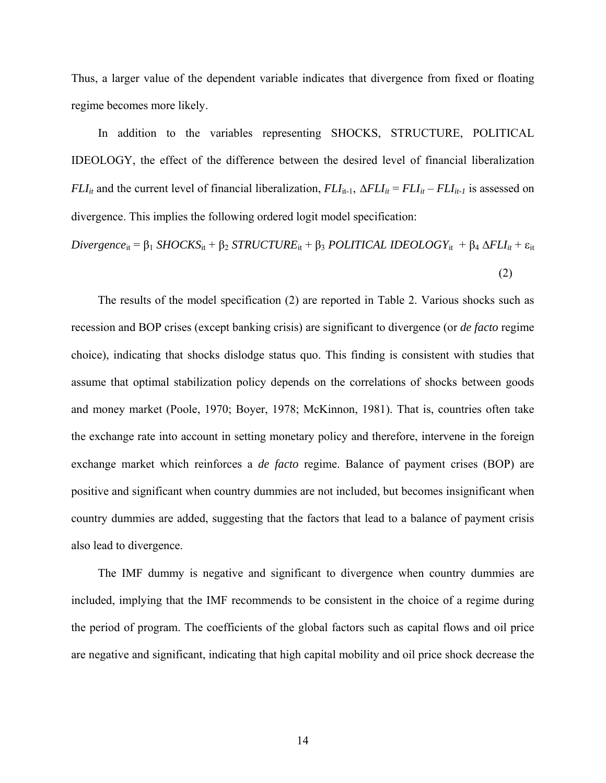Thus, a larger value of the dependent variable indicates that divergence from fixed or floating regime becomes more likely.

In addition to the variables representing SHOCKS, STRUCTURE, POLITICAL IDEOLOGY, the effect of the difference between the desired level of financial liberalization *FLI*<sub>it</sub> and the current level of financial liberalization,  $FLI_{it-1}$ ,  $\Delta FLI_{it} = FLI_{it} - FLI_{it-1}$  is assessed on divergence. This implies the following ordered logit model specification:

$$
Divergence_{it} = \beta_1 SHOCKS_{it} + \beta_2 STRUCTURE_{it} + \beta_3 POLITICAL IDEOLOGY_{it} + \beta_4 \Delta FLI_{it} + \varepsilon_{it}
$$
\n(2)

The results of the model specification (2) are reported in Table 2. Various shocks such as recession and BOP crises (except banking crisis) are significant to divergence (or *de facto* regime choice), indicating that shocks dislodge status quo. This finding is consistent with studies that assume that optimal stabilization policy depends on the correlations of shocks between goods and money market (Poole, 1970; Boyer, 1978; McKinnon, 1981). That is, countries often take the exchange rate into account in setting monetary policy and therefore, intervene in the foreign exchange market which reinforces a *de facto* regime. Balance of payment crises (BOP) are positive and significant when country dummies are not included, but becomes insignificant when country dummies are added, suggesting that the factors that lead to a balance of payment crisis also lead to divergence.

The IMF dummy is negative and significant to divergence when country dummies are included, implying that the IMF recommends to be consistent in the choice of a regime during the period of program. The coefficients of the global factors such as capital flows and oil price are negative and significant, indicating that high capital mobility and oil price shock decrease the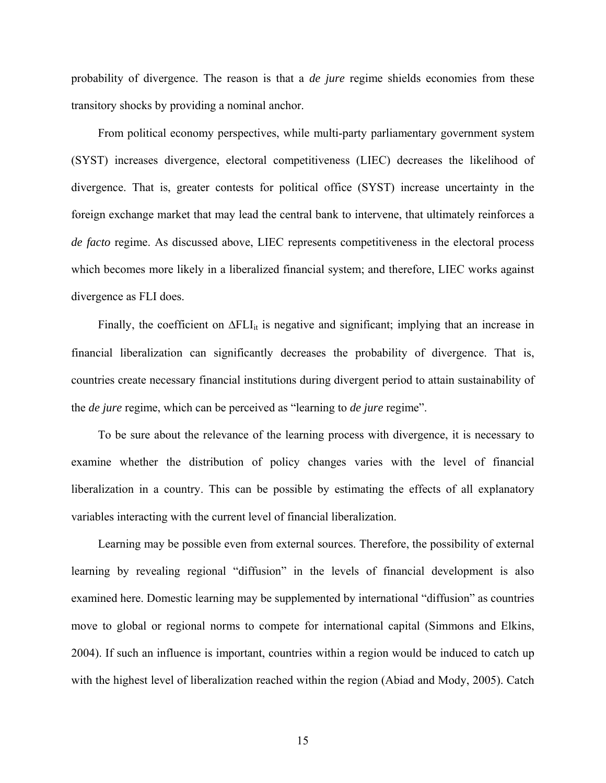probability of divergence. The reason is that a *de jure* regime shields economies from these transitory shocks by providing a nominal anchor.

From political economy perspectives, while multi-party parliamentary government system (SYST) increases divergence, electoral competitiveness (LIEC) decreases the likelihood of divergence. That is, greater contests for political office (SYST) increase uncertainty in the foreign exchange market that may lead the central bank to intervene, that ultimately reinforces a *de facto* regime. As discussed above, LIEC represents competitiveness in the electoral process which becomes more likely in a liberalized financial system; and therefore, LIEC works against divergence as FLI does.

Finally, the coefficient on  $\Delta FLI_{it}$  is negative and significant; implying that an increase in financial liberalization can significantly decreases the probability of divergence. That is, countries create necessary financial institutions during divergent period to attain sustainability of the *de jure* regime, which can be perceived as "learning to *de jure* regime".

To be sure about the relevance of the learning process with divergence, it is necessary to examine whether the distribution of policy changes varies with the level of financial liberalization in a country. This can be possible by estimating the effects of all explanatory variables interacting with the current level of financial liberalization.

Learning may be possible even from external sources. Therefore, the possibility of external learning by revealing regional "diffusion" in the levels of financial development is also examined here. Domestic learning may be supplemented by international "diffusion" as countries move to global or regional norms to compete for international capital (Simmons and Elkins, 2004). If such an influence is important, countries within a region would be induced to catch up with the highest level of liberalization reached within the region (Abiad and Mody, 2005). Catch

15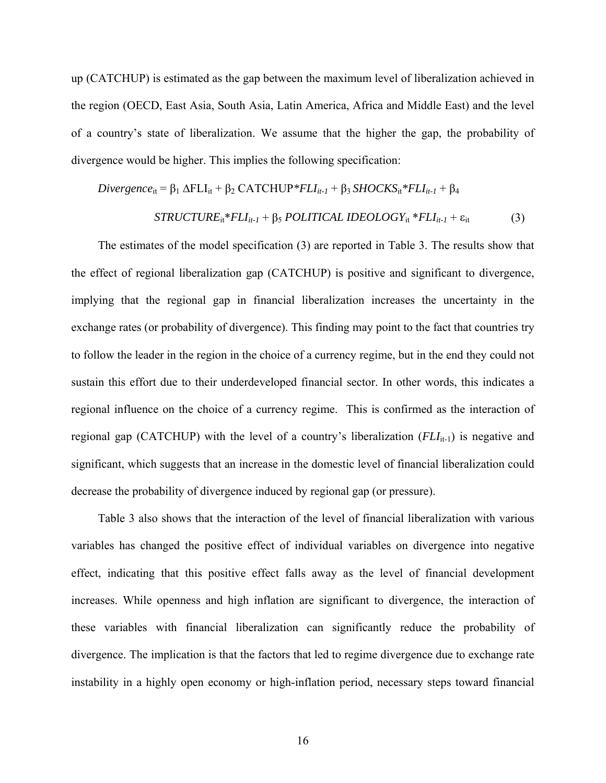up (CATCHUP) is estimated as the gap between the maximum level of liberalization achieved in the region (OECD, East Asia, South Asia, Latin America, Africa and Middle East) and the level of a country's state of liberalization. We assume that the higher the gap, the probability of divergence would be higher. This implies the following specification:

$$
Divergence_{it} = \beta_1 \Delta FLI_{it} + \beta_2 \, CATCHUP*FLI_{it-1} + \beta_3 \, SHOCKS_{it}*FLI_{it-1} + \beta_4
$$
\n
$$
STRUCTURE_{it}*FLI_{it-1} + \beta_5 \, POLITICAL \, IDEOLOGY_{it}*FLI_{it-1} + \varepsilon_{it} \tag{3}
$$

The estimates of the model specification (3) are reported in Table 3. The results show that the effect of regional liberalization gap (CATCHUP) is positive and significant to divergence, implying that the regional gap in financial liberalization increases the uncertainty in the exchange rates (or probability of divergence). This finding may point to the fact that countries try to follow the leader in the region in the choice of a currency regime, but in the end they could not sustain this effort due to their underdeveloped financial sector. In other words, this indicates a regional influence on the choice of a currency regime. This is confirmed as the interaction of regional gap (CATCHUP) with the level of a country's liberalization  $(FLI_{it-1})$  is negative and significant, which suggests that an increase in the domestic level of financial liberalization could decrease the probability of divergence induced by regional gap (or pressure).

Table 3 also shows that the interaction of the level of financial liberalization with various variables has changed the positive effect of individual variables on divergence into negative effect, indicating that this positive effect falls away as the level of financial development increases. While openness and high inflation are significant to divergence, the interaction of these variables with financial liberalization can significantly reduce the probability of divergence. The implication is that the factors that led to regime divergence due to exchange rate instability in a highly open economy or high-inflation period, necessary steps toward financial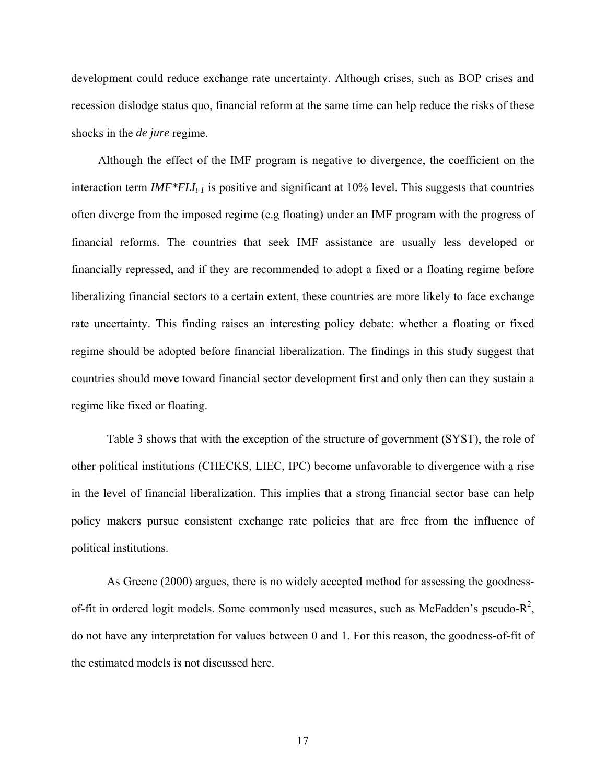development could reduce exchange rate uncertainty. Although crises, such as BOP crises and recession dislodge status quo, financial reform at the same time can help reduce the risks of these shocks in the *de jure* regime.

Although the effect of the IMF program is negative to divergence, the coefficient on the interaction term  $IMF*FLI_{t-1}$  is positive and significant at 10% level. This suggests that countries often diverge from the imposed regime (e.g floating) under an IMF program with the progress of financial reforms. The countries that seek IMF assistance are usually less developed or financially repressed, and if they are recommended to adopt a fixed or a floating regime before liberalizing financial sectors to a certain extent, these countries are more likely to face exchange rate uncertainty. This finding raises an interesting policy debate: whether a floating or fixed regime should be adopted before financial liberalization. The findings in this study suggest that countries should move toward financial sector development first and only then can they sustain a regime like fixed or floating.

Table 3 shows that with the exception of the structure of government (SYST), the role of other political institutions (CHECKS, LIEC, IPC) become unfavorable to divergence with a rise in the level of financial liberalization. This implies that a strong financial sector base can help policy makers pursue consistent exchange rate policies that are free from the influence of political institutions.

As Greene (2000) argues, there is no widely accepted method for assessing the goodnessof-fit in ordered logit models. Some commonly used measures, such as McFadden's pseudo- $R^2$ , do not have any interpretation for values between 0 and 1. For this reason, the goodness-of-fit of the estimated models is not discussed here.

17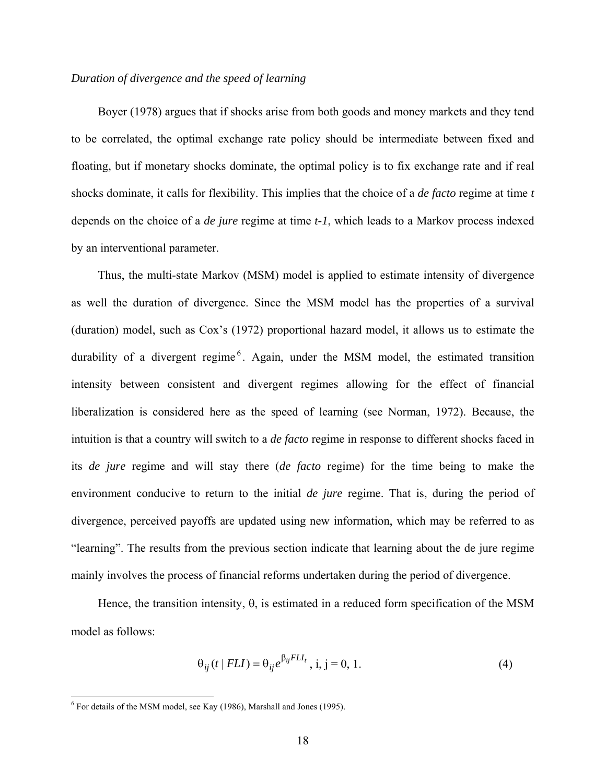### *Duration of divergence and the speed of learning*

Boyer (1978) argues that if shocks arise from both goods and money markets and they tend to be correlated, the optimal exchange rate policy should be intermediate between fixed and floating, but if monetary shocks dominate, the optimal policy is to fix exchange rate and if real shocks dominate, it calls for flexibility. This implies that the choice of a *de facto* regime at time *t* depends on the choice of a *de jure* regime at time *t-1*, which leads to a Markov process indexed by an interventional parameter.

Thus, the multi-state Markov (MSM) model is applied to estimate intensity of divergence as well the duration of divergence. Since the MSM model has the properties of a survival (duration) model, such as Cox's (1972) proportional hazard model, it allows us to estimate the durability of a divergent regime<sup>6</sup>. Again, under the MSM model, the estimated transition intensity between consistent and divergent regimes allowing for the effect of financial liberalization is considered here as the speed of learning (see Norman, 1972). Because, the intuition is that a country will switch to a *de facto* regime in response to different shocks faced in its *de jure* regime and will stay there (*de facto* regime) for the time being to make the environment conducive to return to the initial *de jure* regime. That is, during the period of divergence, perceived payoffs are updated using new information, which may be referred to as "learning". The results from the previous section indicate that learning about the de jure regime mainly involves the process of financial reforms undertaken during the period of divergence.

Hence, the transition intensity,  $\theta$ , is estimated in a reduced form specification of the MSM model as follows:

$$
\Theta_{ij}(t | FLI) = \Theta_{ij} e^{\beta_{ij} FLI_t}, i, j = 0, 1.
$$
 (4)

 6 For details of the MSM model, see Kay (1986), Marshall and Jones (1995).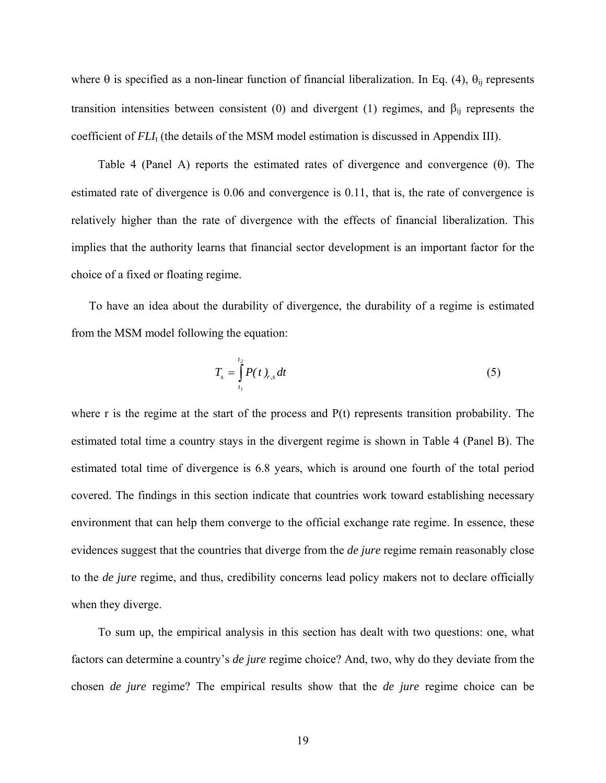where  $\theta$  is specified as a non-linear function of financial liberalization. In Eq. (4),  $\theta_{ii}$  represents transition intensities between consistent (0) and divergent (1) regimes, and  $β_{ij}$  represents the coefficient of  $FLI<sub>t</sub>$  (the details of the MSM model estimation is discussed in Appendix III).

Table 4 (Panel A) reports the estimated rates of divergence and convergence  $(\theta)$ . The estimated rate of divergence is 0.06 and convergence is 0.11, that is, the rate of convergence is relatively higher than the rate of divergence with the effects of financial liberalization. This implies that the authority learns that financial sector development is an important factor for the choice of a fixed or floating regime.

To have an idea about the durability of divergence, the durability of a regime is estimated from the MSM model following the equation:

$$
T_s = \int_{t_1}^{t_2} P(t)_{r,s} dt
$$
 (5)

where r is the regime at the start of the process and P(t) represents transition probability. The estimated total time a country stays in the divergent regime is shown in Table 4 (Panel B). The estimated total time of divergence is 6.8 years, which is around one fourth of the total period covered. The findings in this section indicate that countries work toward establishing necessary environment that can help them converge to the official exchange rate regime. In essence, these evidences suggest that the countries that diverge from the *de jure* regime remain reasonably close to the *de jure* regime, and thus, credibility concerns lead policy makers not to declare officially when they diverge.

To sum up, the empirical analysis in this section has dealt with two questions: one, what factors can determine a country's *de jure* regime choice? And, two, why do they deviate from the chosen *de jure* regime? The empirical results show that the *de jure* regime choice can be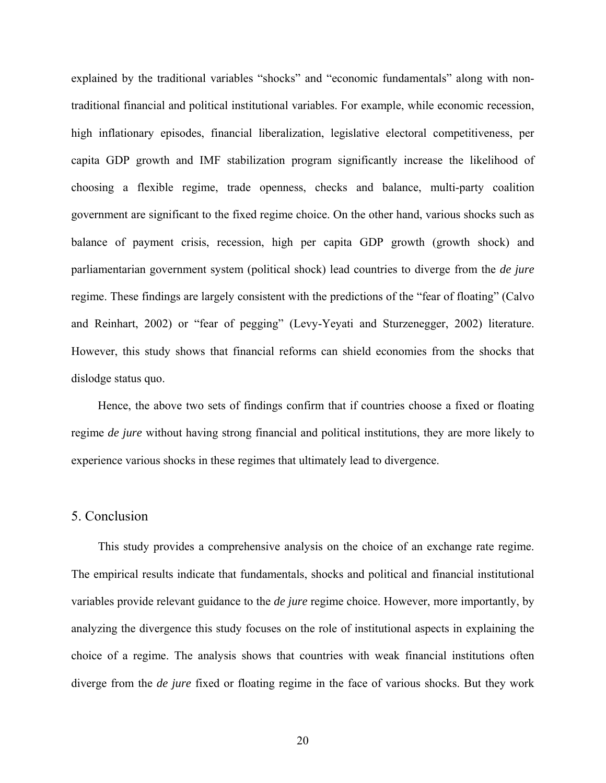explained by the traditional variables "shocks" and "economic fundamentals" along with nontraditional financial and political institutional variables. For example, while economic recession, high inflationary episodes, financial liberalization, legislative electoral competitiveness, per capita GDP growth and IMF stabilization program significantly increase the likelihood of choosing a flexible regime, trade openness, checks and balance, multi-party coalition government are significant to the fixed regime choice. On the other hand, various shocks such as balance of payment crisis, recession, high per capita GDP growth (growth shock) and parliamentarian government system (political shock) lead countries to diverge from the *de jure* regime. These findings are largely consistent with the predictions of the "fear of floating" (Calvo and Reinhart, 2002) or "fear of pegging" (Levy-Yeyati and Sturzenegger, 2002) literature. However, this study shows that financial reforms can shield economies from the shocks that dislodge status quo.

Hence, the above two sets of findings confirm that if countries choose a fixed or floating regime *de jure* without having strong financial and political institutions, they are more likely to experience various shocks in these regimes that ultimately lead to divergence.

## 5. Conclusion

This study provides a comprehensive analysis on the choice of an exchange rate regime. The empirical results indicate that fundamentals, shocks and political and financial institutional variables provide relevant guidance to the *de jure* regime choice. However, more importantly, by analyzing the divergence this study focuses on the role of institutional aspects in explaining the choice of a regime. The analysis shows that countries with weak financial institutions often diverge from the *de jure* fixed or floating regime in the face of various shocks. But they work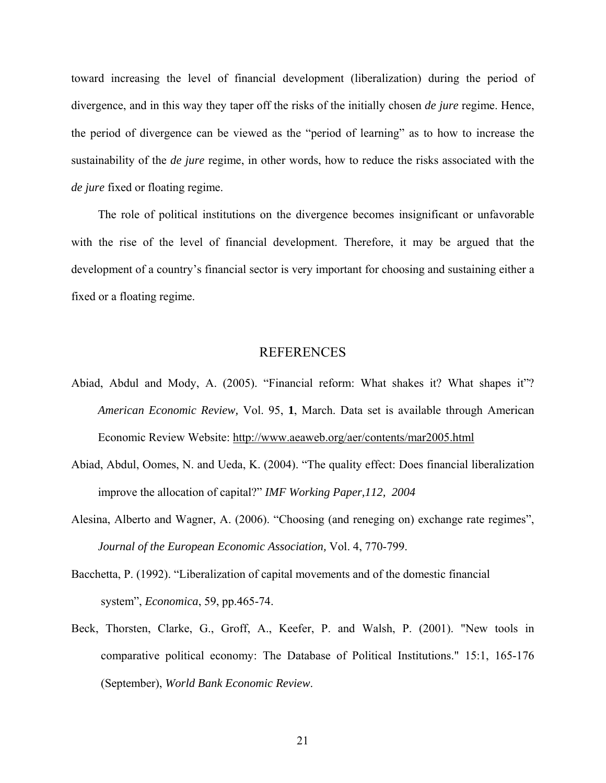toward increasing the level of financial development (liberalization) during the period of divergence, and in this way they taper off the risks of the initially chosen *de jure* regime. Hence, the period of divergence can be viewed as the "period of learning" as to how to increase the sustainability of the *de jure* regime, in other words, how to reduce the risks associated with the *de jure* fixed or floating regime.

The role of political institutions on the divergence becomes insignificant or unfavorable with the rise of the level of financial development. Therefore, it may be argued that the development of a country's financial sector is very important for choosing and sustaining either a fixed or a floating regime.

### REFERENCES

- Abiad, Abdul and Mody, A. (2005). "Financial reform: What shakes it? What shapes it"? *American Economic Review,* Vol. 95, **1**, March. Data set is available through American Economic Review Website: http://www.aeaweb.org/aer/contents/mar2005.html
- Abiad, Abdul, Oomes, N. and Ueda, K. (2004). "The quality effect: Does financial liberalization improve the allocation of capital?" *IMF Working Paper,112, 2004*
- Alesina, Alberto and Wagner, A. (2006). "Choosing (and reneging on) exchange rate regimes", *Journal of the European Economic Association,* Vol. 4, 770-799.
- Bacchetta, P. (1992). "Liberalization of capital movements and of the domestic financial system", *Economica*, 59, pp.465-74.
- Beck, Thorsten, Clarke, G., Groff, A., Keefer, P. and Walsh, P. (2001). "New tools in comparative political economy: The Database of Political Institutions." 15:1, 165-176 (September), *World Bank Economic Review*.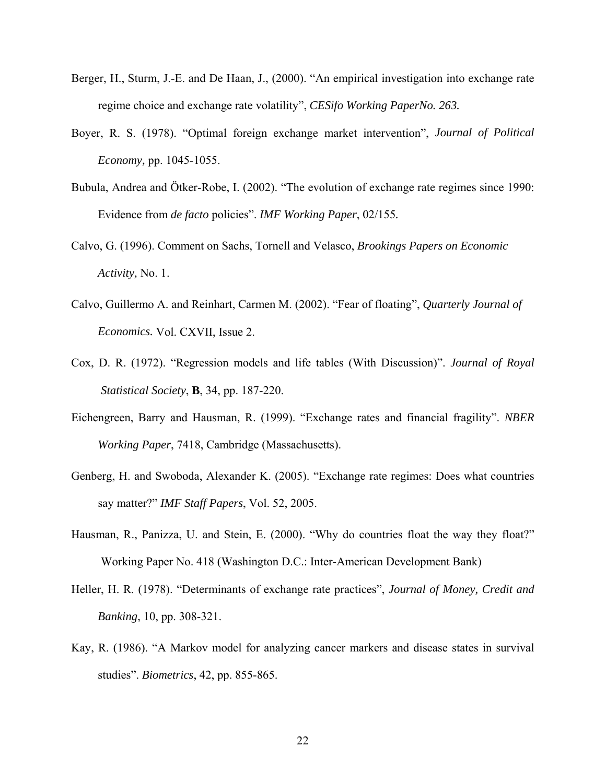- Berger, H., Sturm, J.-E. and De Haan, J., (2000). "An empirical investigation into exchange rate regime choice and exchange rate volatility", *CESifo Working PaperNo. 263.*
- Boyer, R. S. (1978). "Optimal foreign exchange market intervention", *Journal of Political Economy,* pp. 1045-1055.
- Bubula, Andrea and Ötker-Robe, I. (2002). "The evolution of exchange rate regimes since 1990: Evidence from *de facto* policies". *IMF Working Paper*, 02/155*.*
- Calvo, G. (1996). Comment on Sachs, Tornell and Velasco, *Brookings Papers on Economic Activity,* No. 1.
- Calvo, Guillermo A. and Reinhart, Carmen M. (2002). "Fear of floating", *Quarterly Journal of Economics.* Vol. CXVII, Issue 2.
- Cox, D. R. (1972). "Regression models and life tables (With Discussion)". *Journal of Royal Statistical Society*, **B**, 34, pp. 187-220.
- Eichengreen, Barry and Hausman, R. (1999). "Exchange rates and financial fragility". *NBER Working Paper*, 7418, Cambridge (Massachusetts).
- Genberg, H. and Swoboda, Alexander K. (2005). "Exchange rate regimes: Does what countries say matter?" *IMF Staff Papers*, Vol. 52, 2005.
- Hausman, R., Panizza, U. and Stein, E. (2000). "Why do countries float the way they float?" Working Paper No. 418 (Washington D.C.: Inter-American Development Bank)
- Heller, H. R. (1978). "Determinants of exchange rate practices", *Journal of Money, Credit and Banking*, 10, pp. 308-321.
- Kay, R. (1986). "A Markov model for analyzing cancer markers and disease states in survival studies". *Biometrics*, 42, pp. 855-865.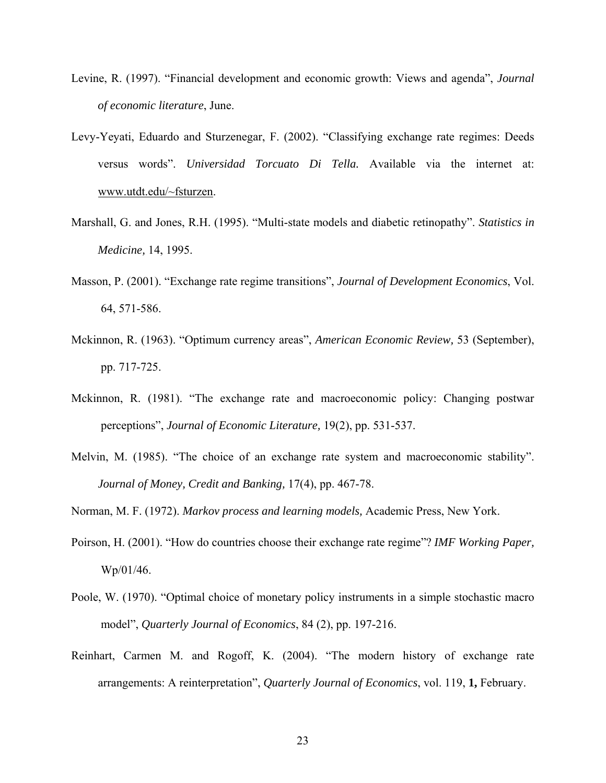- Levine, R. (1997). "Financial development and economic growth: Views and agenda", *Journal of economic literature*, June.
- Levy-Yeyati, Eduardo and Sturzenegar, F. (2002). "Classifying exchange rate regimes: Deeds versus words". *Universidad Torcuato Di Tella.* Available via the internet at: www.utdt.edu/~fsturzen.
- Marshall, G. and Jones, R.H. (1995). "Multi-state models and diabetic retinopathy". *Statistics in Medicine,* 14, 1995.
- Masson, P. (2001). "Exchange rate regime transitions", *Journal of Development Economics*, Vol. 64, 571-586.
- Mckinnon, R. (1963). "Optimum currency areas", *American Economic Review,* 53 (September), pp. 717-725.
- Mckinnon, R. (1981). "The exchange rate and macroeconomic policy: Changing postwar perceptions", *Journal of Economic Literature,* 19(2), pp. 531-537.
- Melvin, M. (1985). "The choice of an exchange rate system and macroeconomic stability". *Journal of Money, Credit and Banking,* 17(4), pp. 467-78.
- Norman, M. F. (1972). *Markov process and learning models,* Academic Press, New York.
- Poirson, H. (2001). "How do countries choose their exchange rate regime"? *IMF Working Paper,*  Wp/01/46.
- Poole, W. (1970). "Optimal choice of monetary policy instruments in a simple stochastic macro model", *Quarterly Journal of Economics*, 84 (2), pp. 197-216.
- Reinhart, Carmen M. and Rogoff, K. (2004). "The modern history of exchange rate arrangements: A reinterpretation", *Quarterly Journal of Economics*, vol. 119, **1,** February.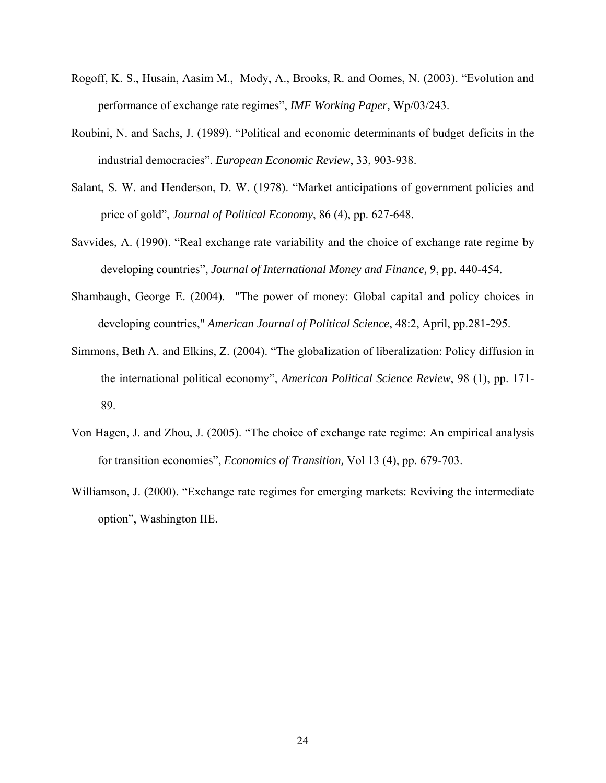- Rogoff, K. S., Husain, Aasim M., Mody, A., Brooks, R. and Oomes, N. (2003). "Evolution and performance of exchange rate regimes", *IMF Working Paper,* Wp/03/243.
- Roubini, N. and Sachs, J. (1989). "Political and economic determinants of budget deficits in the industrial democracies". *European Economic Review*, 33, 903-938.
- Salant, S. W. and Henderson, D. W. (1978). "Market anticipations of government policies and price of gold", *Journal of Political Economy*, 86 (4), pp. 627-648.
- Savvides, A. (1990). "Real exchange rate variability and the choice of exchange rate regime by developing countries", *Journal of International Money and Finance,* 9, pp. 440-454.
- Shambaugh, George E. (2004). "The power of money: Global capital and policy choices in developing countries," *American Journal of Political Science*, 48:2, April, pp.281-295.
- Simmons, Beth A. and Elkins, Z. (2004). "The globalization of liberalization: Policy diffusion in the international political economy", *American Political Science Review*, 98 (1), pp. 171- 89.
- Von Hagen, J. and Zhou, J. (2005). "The choice of exchange rate regime: An empirical analysis for transition economies", *Economics of Transition,* Vol 13 (4), pp. 679-703.
- Williamson, J. (2000). "Exchange rate regimes for emerging markets: Reviving the intermediate option", Washington IIE.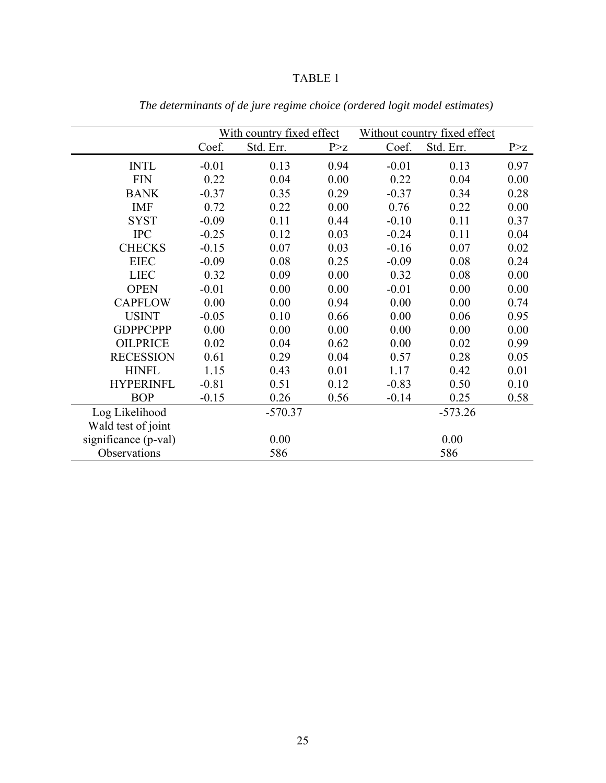|                      |           | With country fixed effect |           |         | Without country fixed effect |       |
|----------------------|-----------|---------------------------|-----------|---------|------------------------------|-------|
|                      | Coef.     | Std. Err.                 | P > Z     | Coef.   | Std. Err.                    | P > z |
| <b>INTL</b>          | $-0.01$   | 0.13                      | 0.94      | $-0.01$ | 0.13                         | 0.97  |
| <b>FIN</b>           | 0.22      | 0.04                      | 0.00      | 0.22    | 0.04                         | 0.00  |
| <b>BANK</b>          | $-0.37$   | 0.35                      | 0.29      | $-0.37$ | 0.34                         | 0.28  |
| <b>IMF</b>           | 0.72      | 0.22                      | 0.00      | 0.76    | 0.22                         | 0.00  |
| <b>SYST</b>          | $-0.09$   | 0.11                      | 0.44      | $-0.10$ | 0.11                         | 0.37  |
| <b>IPC</b>           | $-0.25$   | 0.12                      | 0.03      | $-0.24$ | 0.11                         | 0.04  |
| <b>CHECKS</b>        | $-0.15$   | 0.07                      | 0.03      | $-0.16$ | 0.07                         | 0.02  |
| <b>EIEC</b>          | $-0.09$   | 0.08                      | 0.25      | $-0.09$ | 0.08                         | 0.24  |
| <b>LIEC</b>          | 0.32      | 0.09                      | 0.00      | 0.32    | 0.08                         | 0.00  |
| <b>OPEN</b>          | $-0.01$   | 0.00                      | 0.00      | $-0.01$ | 0.00                         | 0.00  |
| <b>CAPFLOW</b>       | 0.00      | 0.00                      | 0.94      | 0.00    | 0.00                         | 0.74  |
| <b>USINT</b>         | $-0.05$   | 0.10                      | 0.66      | 0.00    | 0.06                         | 0.95  |
| <b>GDPPCPPP</b>      | 0.00      | 0.00                      | 0.00      | 0.00    | 0.00                         | 0.00  |
| <b>OILPRICE</b>      | 0.02      | 0.04                      | 0.62      | 0.00    | 0.02                         | 0.99  |
| <b>RECESSION</b>     | 0.61      | 0.29                      | 0.04      | 0.57    | 0.28                         | 0.05  |
| <b>HINFL</b>         | 1.15      | 0.43                      | 0.01      | 1.17    | 0.42                         | 0.01  |
| <b>HYPERINFL</b>     | $-0.81$   | 0.51                      | 0.12      | $-0.83$ | 0.50                         | 0.10  |
| <b>BOP</b>           | $-0.15$   | 0.26                      | 0.56      | $-0.14$ | 0.25                         | 0.58  |
| Log Likelihood       | $-570.37$ |                           | $-573.26$ |         |                              |       |
| Wald test of joint   |           |                           |           |         |                              |       |
| significance (p-val) | 0.00      |                           | 0.00      |         |                              |       |
| Observations         |           | 586                       |           |         | 586                          |       |

*The determinants of de jure regime choice (ordered logit model estimates)*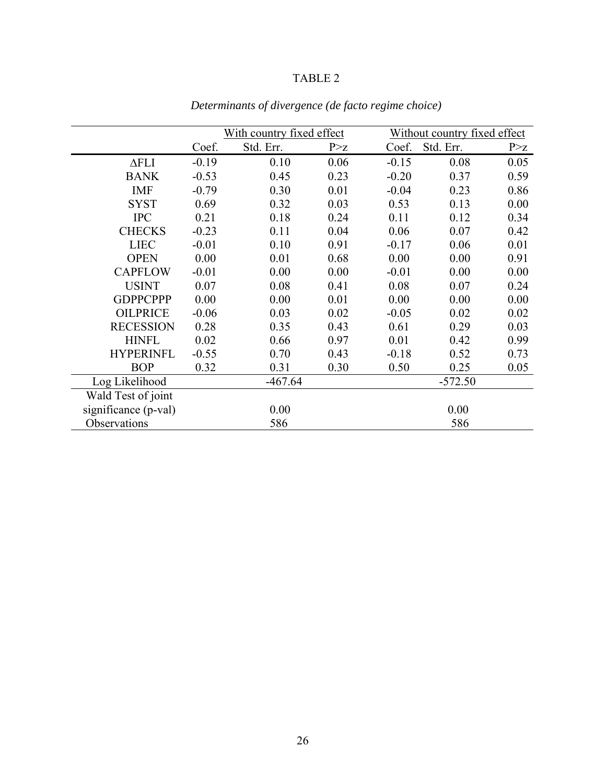|                      |         | With country fixed effect |       |         | Without country fixed effect |       |
|----------------------|---------|---------------------------|-------|---------|------------------------------|-------|
|                      | Coef.   | Std. Err.                 | P > z | Coef.   | Std. Err.                    | P > Z |
| $\Delta$ FLI         | $-0.19$ | 0.10                      | 0.06  | $-0.15$ | 0.08                         | 0.05  |
| <b>BANK</b>          | $-0.53$ | 0.45                      | 0.23  | $-0.20$ | 0.37                         | 0.59  |
| <b>IMF</b>           | $-0.79$ | 0.30                      | 0.01  | $-0.04$ | 0.23                         | 0.86  |
| <b>SYST</b>          | 0.69    | 0.32                      | 0.03  | 0.53    | 0.13                         | 0.00  |
| <b>IPC</b>           | 0.21    | 0.18                      | 0.24  | 0.11    | 0.12                         | 0.34  |
| <b>CHECKS</b>        | $-0.23$ | 0.11                      | 0.04  | 0.06    | 0.07                         | 0.42  |
| <b>LIEC</b>          | $-0.01$ | 0.10                      | 0.91  | $-0.17$ | 0.06                         | 0.01  |
| <b>OPEN</b>          | 0.00    | 0.01                      | 0.68  | 0.00    | 0.00                         | 0.91  |
| <b>CAPFLOW</b>       | $-0.01$ | 0.00                      | 0.00  | $-0.01$ | 0.00                         | 0.00  |
| <b>USINT</b>         | 0.07    | 0.08                      | 0.41  | 0.08    | 0.07                         | 0.24  |
| <b>GDPPCPPP</b>      | 0.00    | 0.00                      | 0.01  | 0.00    | 0.00                         | 0.00  |
| <b>OILPRICE</b>      | $-0.06$ | 0.03                      | 0.02  | $-0.05$ | 0.02                         | 0.02  |
| <b>RECESSION</b>     | 0.28    | 0.35                      | 0.43  | 0.61    | 0.29                         | 0.03  |
| <b>HINFL</b>         | 0.02    | 0.66                      | 0.97  | 0.01    | 0.42                         | 0.99  |
| <b>HYPERINFL</b>     | $-0.55$ | 0.70                      | 0.43  | $-0.18$ | 0.52                         | 0.73  |
| <b>BOP</b>           | 0.32    | 0.31                      | 0.30  | 0.50    | 0.25                         | 0.05  |
| Log Likelihood       |         | $-467.64$                 |       |         | $-572.50$                    |       |
| Wald Test of joint   |         |                           |       |         |                              |       |
| significance (p-val) |         | 0.00                      |       |         | 0.00                         |       |
| Observations         |         | 586                       |       |         | 586                          |       |

*Determinants of divergence (de facto regime choice)*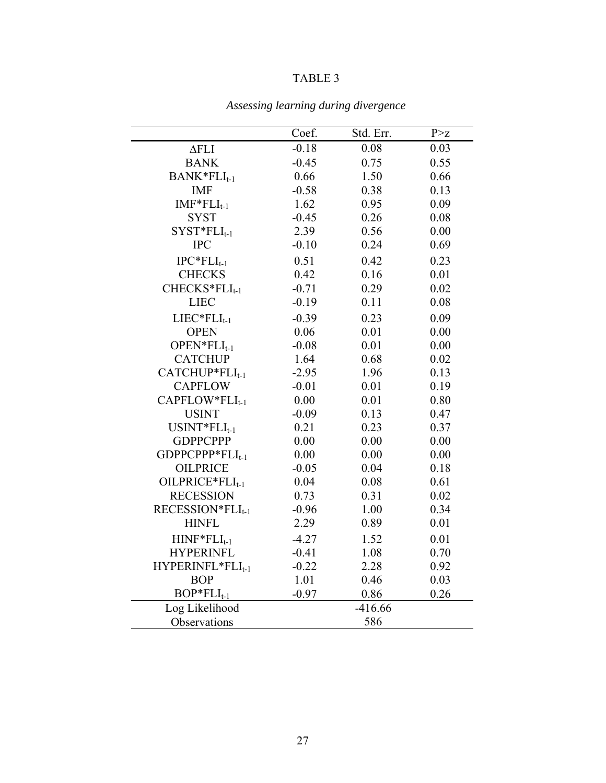|                              | Coef.   | Std. Err. | P > Z |
|------------------------------|---------|-----------|-------|
| $\Delta$ FLI                 | $-0.18$ | 0.08      | 0.03  |
| <b>BANK</b>                  | $-0.45$ | 0.75      | 0.55  |
| $BANK*FLI_{t-1}$             | 0.66    | 1.50      | 0.66  |
| <b>IMF</b>                   | $-0.58$ | 0.38      | 0.13  |
| $IMF*FLI_{t-1}$              | 1.62    | 0.95      | 0.09  |
| <b>SYST</b>                  | $-0.45$ | 0.26      | 0.08  |
| $SYST*FLI_{t-1}$             | 2.39    | 0.56      | 0.00  |
| <b>IPC</b>                   | $-0.10$ | 0.24      | 0.69  |
| $IPC*FLI_{t-1}$              | 0.51    | 0.42      | 0.23  |
| <b>CHECKS</b>                | 0.42    | 0.16      | 0.01  |
| CHECKS*FLI <sub>t-1</sub>    | $-0.71$ | 0.29      | 0.02  |
| <b>LIEC</b>                  | $-0.19$ | 0.11      | 0.08  |
| $LIEC*FLI_{t-1}$             | $-0.39$ | 0.23      | 0.09  |
| <b>OPEN</b>                  | 0.06    | 0.01      | 0.00  |
| $OPEN*FLI_{t-1}$             | $-0.08$ | 0.01      | 0.00  |
| <b>CATCHUP</b>               | 1.64    | 0.68      | 0.02  |
| CATCHUP*FLI <sub>t-1</sub>   | $-2.95$ | 1.96      | 0.13  |
| <b>CAPFLOW</b>               | $-0.01$ | 0.01      | 0.19  |
| CAPFLOW*FLI <sub>t-1</sub>   | 0.00    | 0.01      | 0.80  |
| <b>USINT</b>                 | $-0.09$ | 0.13      | 0.47  |
| $USINT*FLI_{t-1}$            | 0.21    | 0.23      | 0.37  |
| <b>GDPPCPPP</b>              | 0.00    | 0.00      | 0.00  |
| GDPPCPPP*FLI <sub>t-1</sub>  | 0.00    | 0.00      | 0.00  |
| <b>OILPRICE</b>              | $-0.05$ | 0.04      | 0.18  |
| OILPRICE*FLI <sub>t-1</sub>  | 0.04    | 0.08      | 0.61  |
| <b>RECESSION</b>             | 0.73    | 0.31      | 0.02  |
| RECESSION*FLI <sub>t-1</sub> | $-0.96$ | 1.00      | 0.34  |
| <b>HINFL</b>                 | 2.29    | 0.89      | 0.01  |
| $HINF*FLI_{t-1}$             | $-4.27$ | 1.52      | 0.01  |
| <b>HYPERINFL</b>             | $-0.41$ | 1.08      | 0.70  |
| HYPERINFL*FLI <sub>t-1</sub> | $-0.22$ | 2.28      | 0.92  |
| <b>BOP</b>                   | 1.01    | 0.46      | 0.03  |
| $BOP*FLI_{t-1}$              | $-0.97$ | 0.86      | 0.26  |
| Log Likelihood               |         | $-416.66$ |       |
| Observations                 |         | 586       |       |

*Assessing learning during divergence*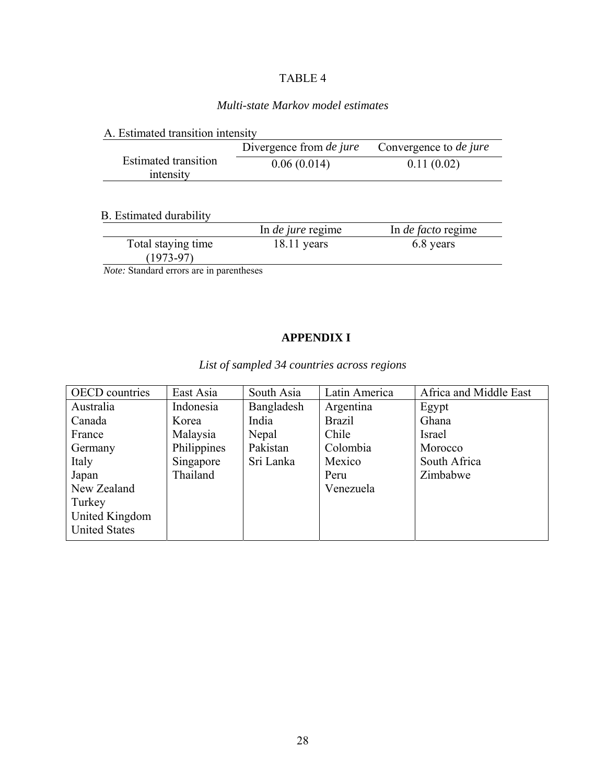# *Multi-state Markov model estimates*

|                                          | Divergence from <i>de jure</i> | Convergence to <i>de jure</i> |
|------------------------------------------|--------------------------------|-------------------------------|
| <b>Estimated transition</b><br>intensity | 0.06(0.014)                    | 0.11(0.02)                    |
|                                          |                                |                               |

|                                           | In <i>de jure</i> regime | In <i>de facto</i> regime |
|-------------------------------------------|--------------------------|---------------------------|
| Total staying time<br>$(1973-97)$         | $18.11$ years            | 6.8 years                 |
| Meter Chandard suppose and in nononthonor |                          |                           |

 *Note:* Standard errors are in parentheses

# **APPENDIX I**

*List of sampled 34 countries across regions* 

| <b>OECD</b> countries | East Asia   | South Asia | Latin America | Africa and Middle East |
|-----------------------|-------------|------------|---------------|------------------------|
| Australia             | Indonesia   | Bangladesh | Argentina     | Egypt                  |
| Canada                | Korea       | India      | <b>Brazil</b> | Ghana                  |
| France                | Malaysia    | Nepal      | Chile         | <b>Israel</b>          |
| Germany               | Philippines | Pakistan   | Colombia      | Morocco                |
| Italy                 | Singapore   | Sri Lanka  | Mexico        | South Africa           |
| Japan                 | Thailand    |            | Peru          | Zimbabwe               |
| New Zealand           |             |            | Venezuela     |                        |
| Turkey                |             |            |               |                        |
| United Kingdom        |             |            |               |                        |
| <b>United States</b>  |             |            |               |                        |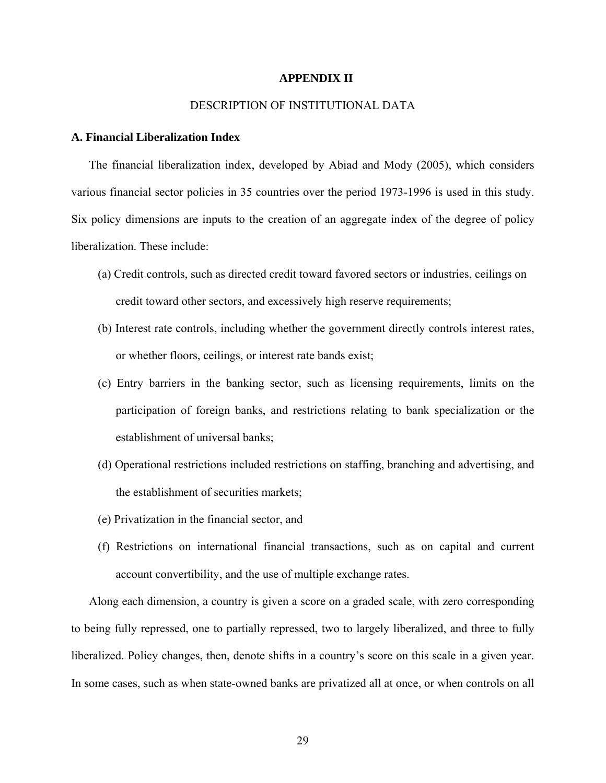#### **APPENDIX II**

### DESCRIPTION OF INSTITUTIONAL DATA

### **A. Financial Liberalization Index**

The financial liberalization index, developed by Abiad and Mody (2005), which considers various financial sector policies in 35 countries over the period 1973-1996 is used in this study. Six policy dimensions are inputs to the creation of an aggregate index of the degree of policy liberalization. These include:

- (a) Credit controls, such as directed credit toward favored sectors or industries, ceilings on credit toward other sectors, and excessively high reserve requirements;
- (b) Interest rate controls, including whether the government directly controls interest rates, or whether floors, ceilings, or interest rate bands exist;
- (c) Entry barriers in the banking sector, such as licensing requirements, limits on the participation of foreign banks, and restrictions relating to bank specialization or the establishment of universal banks;
- (d) Operational restrictions included restrictions on staffing, branching and advertising, and the establishment of securities markets;
- (e) Privatization in the financial sector, and
- (f) Restrictions on international financial transactions, such as on capital and current account convertibility, and the use of multiple exchange rates.

Along each dimension, a country is given a score on a graded scale, with zero corresponding to being fully repressed, one to partially repressed, two to largely liberalized, and three to fully liberalized. Policy changes, then, denote shifts in a country's score on this scale in a given year. In some cases, such as when state-owned banks are privatized all at once, or when controls on all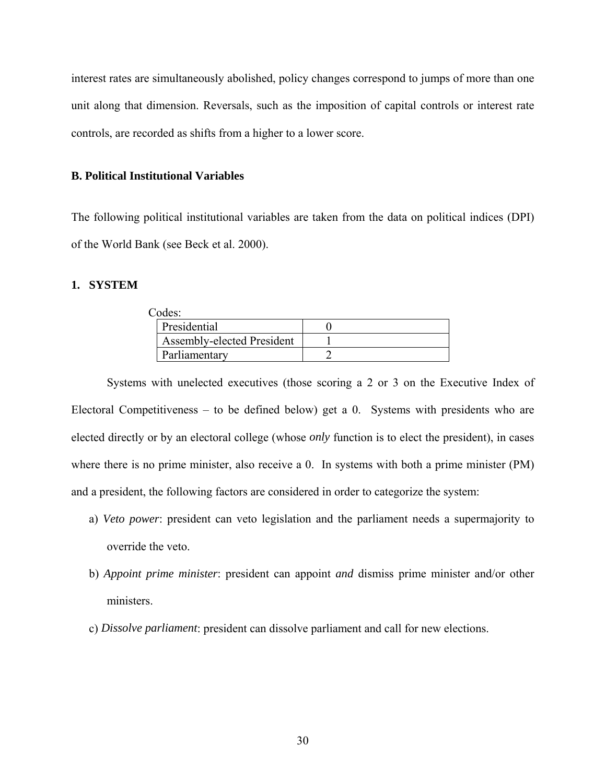interest rates are simultaneously abolished, policy changes correspond to jumps of more than one unit along that dimension. Reversals, such as the imposition of capital controls or interest rate controls, are recorded as shifts from a higher to a lower score.

### **B. Political Institutional Variables**

The following political institutional variables are taken from the data on political indices (DPI) of the World Bank (see Beck et al. 2000).

### **1. SYSTEM**

| Codes:                     |  |
|----------------------------|--|
| Presidential               |  |
| Assembly-elected President |  |
| Parliamentary              |  |

Systems with unelected executives (those scoring a 2 or 3 on the Executive Index of Electoral Competitiveness – to be defined below) get a 0. Systems with presidents who are elected directly or by an electoral college (whose *only* function is to elect the president), in cases where there is no prime minister, also receive a 0. In systems with both a prime minister (PM) and a president, the following factors are considered in order to categorize the system:

- a) *Veto power*: president can veto legislation and the parliament needs a supermajority to override the veto.
- b) *Appoint prime minister*: president can appoint *and* dismiss prime minister and/or other ministers.
- c) *Dissolve parliament*: president can dissolve parliament and call for new elections.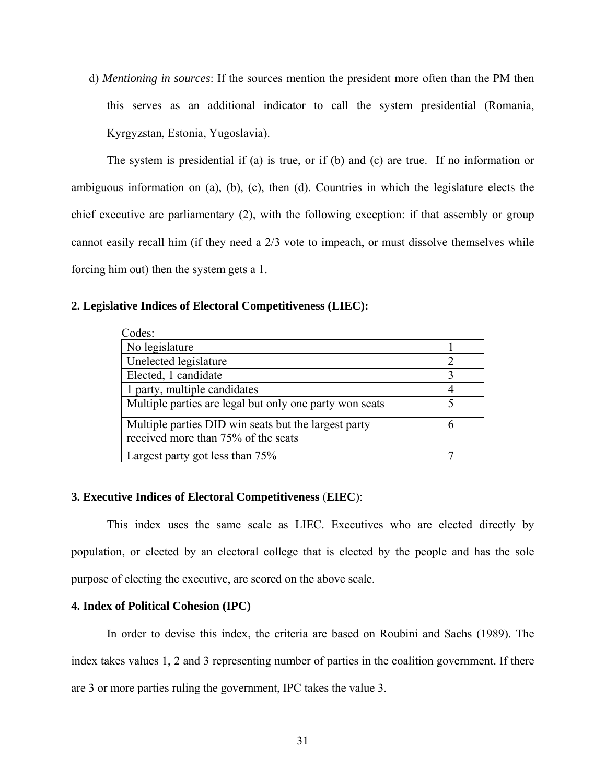d) *Mentioning in sources*: If the sources mention the president more often than the PM then this serves as an additional indicator to call the system presidential (Romania, Kyrgyzstan, Estonia, Yugoslavia).

The system is presidential if (a) is true, or if (b) and (c) are true. If no information or ambiguous information on (a), (b), (c), then (d). Countries in which the legislature elects the chief executive are parliamentary (2), with the following exception: if that assembly or group cannot easily recall him (if they need a 2/3 vote to impeach, or must dissolve themselves while forcing him out) then the system gets a 1.

## **2. Legislative Indices of Electoral Competitiveness (LIEC):**

| Codes:                                                                                      |  |
|---------------------------------------------------------------------------------------------|--|
| No legislature                                                                              |  |
| Unelected legislature                                                                       |  |
| Elected, 1 candidate                                                                        |  |
| 1 party, multiple candidates                                                                |  |
| Multiple parties are legal but only one party won seats                                     |  |
| Multiple parties DID win seats but the largest party<br>received more than 75% of the seats |  |
| Largest party got less than 75%                                                             |  |

#### **3. Executive Indices of Electoral Competitiveness** (**EIEC**):

This index uses the same scale as LIEC. Executives who are elected directly by population, or elected by an electoral college that is elected by the people and has the sole purpose of electing the executive, are scored on the above scale.

### **4. Index of Political Cohesion (IPC)**

In order to devise this index, the criteria are based on Roubini and Sachs (1989). The index takes values 1, 2 and 3 representing number of parties in the coalition government. If there are 3 or more parties ruling the government, IPC takes the value 3.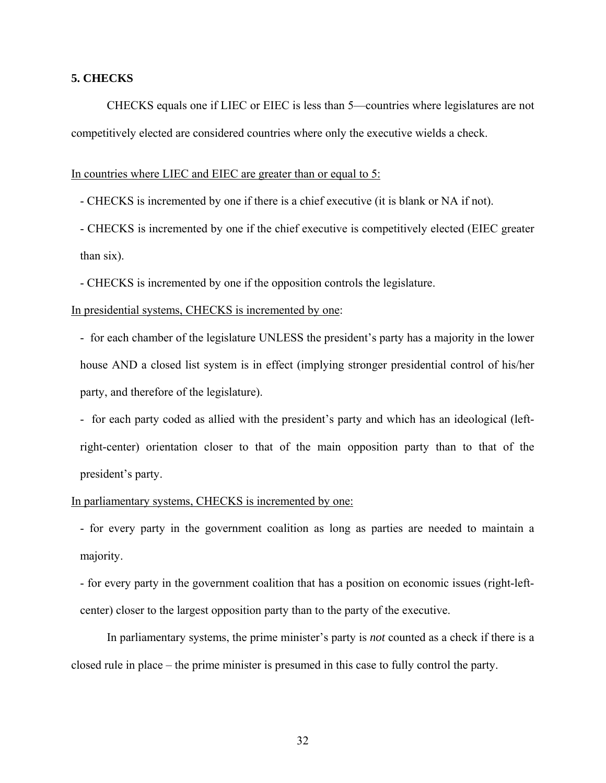### **5. CHECKS**

CHECKS equals one if LIEC or EIEC is less than 5—countries where legislatures are not competitively elected are considered countries where only the executive wields a check.

In countries where LIEC and EIEC are greater than or equal to 5:

- CHECKS is incremented by one if there is a chief executive (it is blank or NA if not).

- CHECKS is incremented by one if the chief executive is competitively elected (EIEC greater than six).
- CHECKS is incremented by one if the opposition controls the legislature.

### In presidential systems, CHECKS is incremented by one:

- for each chamber of the legislature UNLESS the president's party has a majority in the lower house AND a closed list system is in effect (implying stronger presidential control of his/her party, and therefore of the legislature).

- for each party coded as allied with the president's party and which has an ideological (leftright-center) orientation closer to that of the main opposition party than to that of the president's party.

#### In parliamentary systems, CHECKS is incremented by one:

- for every party in the government coalition as long as parties are needed to maintain a majority.

- for every party in the government coalition that has a position on economic issues (right-leftcenter) closer to the largest opposition party than to the party of the executive.

In parliamentary systems, the prime minister's party is *not* counted as a check if there is a closed rule in place – the prime minister is presumed in this case to fully control the party.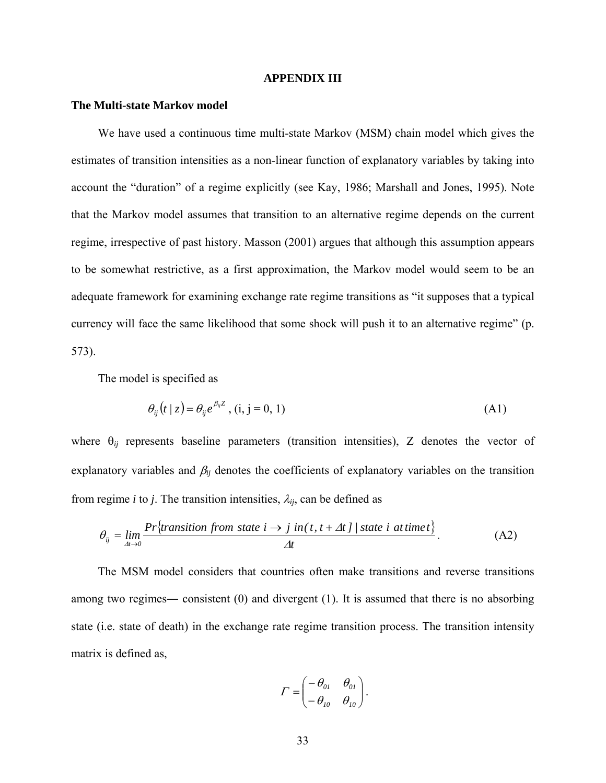#### **APPENDIX III**

#### **The Multi-state Markov model**

We have used a continuous time multi-state Markov (MSM) chain model which gives the estimates of transition intensities as a non-linear function of explanatory variables by taking into account the "duration" of a regime explicitly (see Kay, 1986; Marshall and Jones, 1995). Note that the Markov model assumes that transition to an alternative regime depends on the current regime, irrespective of past history. Masson (2001) argues that although this assumption appears to be somewhat restrictive, as a first approximation, the Markov model would seem to be an adequate framework for examining exchange rate regime transitions as "it supposes that a typical currency will face the same likelihood that some shock will push it to an alternative regime" (p. 573).

The model is specified as

$$
\theta_{ij}(t/z) = \theta_{ij} e^{\beta_{ij} z}, (i, j = 0, 1)
$$
\n(A1)

where  $\theta_{ij}$  represents baseline parameters (transition intensities), Z denotes the vector of explanatory variables and  $\beta_{ij}$  denotes the coefficients of explanatory variables on the transition from regime *i* to *j*. The transition intensities,  $\lambda_{ij}$ , can be defined as

$$
\theta_{ij} = \lim_{\Delta t \to 0} \frac{Pr\{transition\ from\ state\ i \to j\ in(t, t + \Delta t\ ]\ }{\Delta t}.
$$
 (A2)

The MSM model considers that countries often make transitions and reverse transitions among two regimes― consistent (0) and divergent (1). It is assumed that there is no absorbing state (i.e. state of death) in the exchange rate regime transition process. The transition intensity matrix is defined as,

$$
\Gamma = \begin{pmatrix} -\theta_{0I} & \theta_{0I} \\ -\theta_{10} & \theta_{10} \end{pmatrix}.
$$